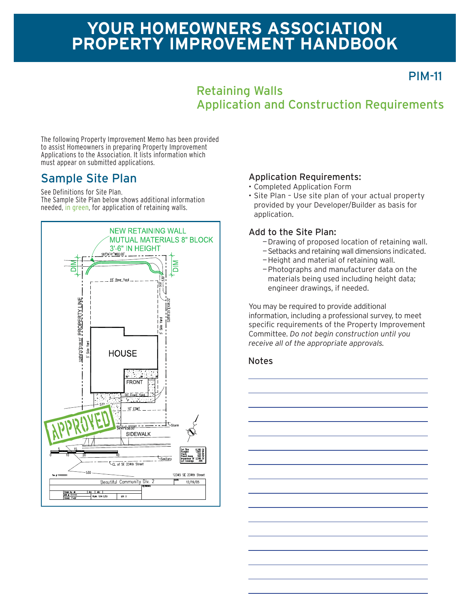# **YOUR HOMEOWNERS ASSOCIATION PROPERTY IMPROVEMENT HANDBOOK**

PIM-11

### Retaining Walls Application and Construction Requirements

The following Property Improvement Memo has been provided to assist Homeowners in preparing Property Improvement Applications to the Association. It lists information which must appear on submitted applications.

## Sample Site Plan

See Definitions for Site Plan.

The Sample Site Plan below shows additional information needed, in green, for application of retaining walls.



#### Application Requirements:

- Completed Application Form
- Site Plan Use site plan of your actual property provided by your Developer/Builder as basis for application.

#### Add to the Site Plan:

- —Drawing of proposed location of retaining wall.
- —Setbacks and retaining wall dimensions indicated.
- —Height and material of retaining wall.
- —Photographs and manufacturer data on the materials being used including height data; engineer drawings, if needed.

You may be required to provide additional information, including a professional survey, to meet specific requirements of the Property Improvement Committee. *Do not begin construction until you receive all of the appropriate approvals.*

#### **Notes**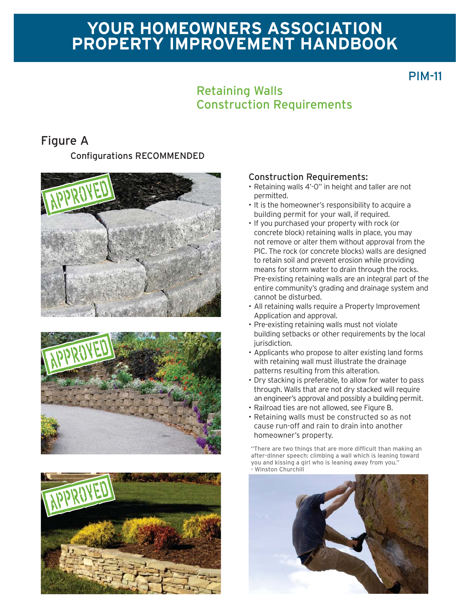# **YOUR HOMEOWNERS ASSOCIATION PROPERTY IMPROVEMENT HANDBOOK**

## PIM-11

### Retaining Walls Construction Requirements

## Figure A

**Configurations RECOMMENDED** 







#### Construction Requirements:

- Retaining walls 4'-0" in height and taller are not permitted.
- It is the homeowner's responsibility to acquire a building permit for your wall, if required.
- If you purchased your property with rock (or concrete block) retaining walls in place, you may not remove or alter them without approval from the PIC. The rock (or concrete blocks) walls are designed to retain soil and prevent erosion while providing means for storm water to drain through the rocks. Pre-existing retaining walls are an integral part of the entire community's grading and drainage system and cannot be disturbed.
- All retaining walls require a Property Improvement Application and approval.
- Pre-existing retaining walls must not violate building setbacks or other requirements by the local jurisdiction.
- Applicants who propose to alter existing land forms with retaining wall must illustrate the drainage patterns resulting from this alteration.
- Dry stacking is preferable, to allow for water to pass through. Walls that are not dry stacked will require an engineer's approval and possibly a building permit.
- Railroad ties are not allowed, see Figure B.
- Retaining walls must be constructed so as not cause run-off and rain to drain into another homeowner's property.

"There are two things that are more difficult than making an after-dinner speech: climbing a wall which is leaning toward you and kissing a girl who is leaning away from you. Winston Churchill